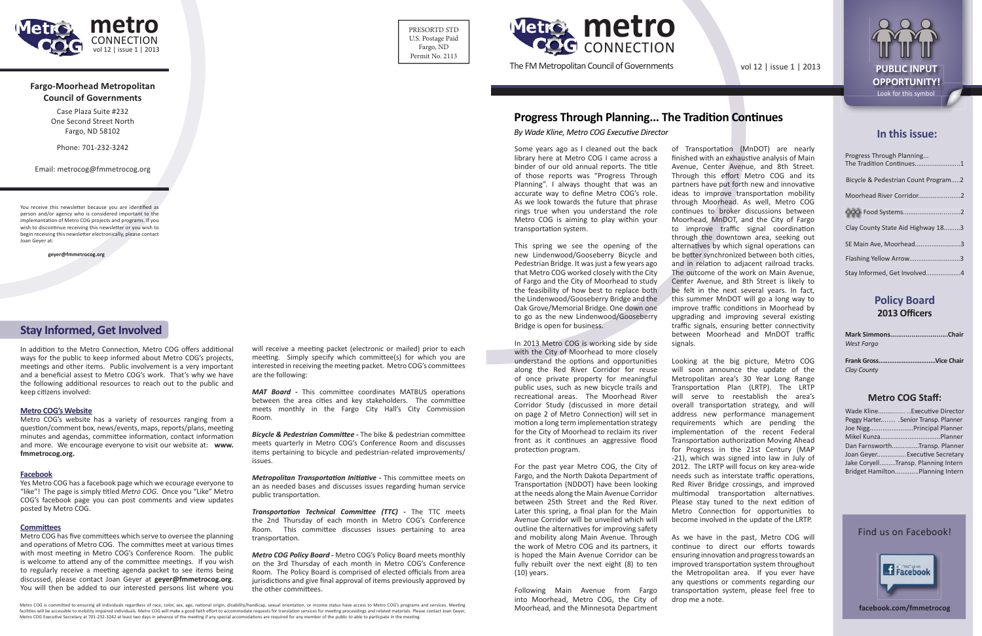

## **Fargo-Moorhead Metropolitan Council of Governments**

Case Plaza Suite #232One Second Street NorthFargo, ND 58102



Phone: 701-232-3242

Email: metrocog@fmmetrocog.org

You receive this newsletter because you are identified as person and/or agency who is considered important to the implemantation of Metro COG projects and programs. If you wish to discontinue receiving this newsletter or you wish to begin receiving this newsletter electronically, please contact Joan Geyer at:

 **geyer@fmmetrocog.org**

Some years ago as I cleaned out the back library here at Metro COG I came across a binder of our old annual reports. The title of those reports was "Progress Through Planning". I always thought that was an accurate way to define Metro COG's role. As we look towards the future that phrase rings true when you understand the role Metro COG is aiming to play within your transportation system.

In 2013 Metro COG is working side by side with the City of Moorhead to more closely understand the options and opportunities along the Red River Corridor for reuse of once private property for meaningful public uses, such as new bicycle trails and recreational areas. The Moorhead River Corridor Study (discussed in more detail on page 2 of Metro Connection) will set in motion a long term implementation strategy for the City of Moorhead to reclaim its river front as it continues an aggressive flood protection program.

PRESORTD STDU.S. Postage Paid Fargo, ND Permit No. 2113

> This spring we see the opening of the new Lindenwood/Gooseberry Bicycle and Pedestrian Bridge. It was just a few years ago that Metro COG worked closely with the City of Fargo and the City of Moorhead to study the feasibility of how best to replace both the Lindenwood/Gooseberry Bridge and the Oak Grove/Memorial Bridge. One down one to go as the new Lindenwood/Gooseberry Bridge is open for business.

of Transportation (MnDOT) are nearly finished with an exhaustive analysis of Main Avenue, Center Avenue, and 8th Street. Through this effort Metro COG and its partners have put forth new and innovative ideas to improve transportation mobility through Moorhead. As well, Metro COG continues to broker discussions between Moorhead, MnDOT, and the City of Fargo to improve traffic signal coordination through the downtown area, seeking out alternatives by which signal operations can be better synchronized between both cities, and in relation to adjacent railroad tracks. The outcome of the work on Main Avenue, Center Avenue, and 8th Street is likely to be felt in the next several years. In fact, this summer MnDOT will go a long way to improve traffic conditions in Moorhead by upgrading and improving several existing traffic signals, ensuring better connectivity between Moorhead and MnDOT traffic signals.

For the past year Metro COG, the City of Fargo, and the North Dakota Department of Transportation (NDDOT) have been looking at the needs along the Main Avenue Corridor between 25th Street and the Red River. Later this spring, a final plan for the Main Avenue Corridor will be unveiled which will outline the alternatives for improving safety and mobility along Main Avenue. Through the work of Metro COG and its partners, it is hoped the Main Avenue Corridor can be fully rebuilt over the next eight (8) to ten (10) years.

Following Main Avenue from Fargo into Moorhead, Metro COG, the City of Moorhead, and the Minnesota Department

Metro COG has five committees which serve to oversee the planning and operations of Metro COG. The committes meet at various times with most meeting in Metro COG's Conference Room. The public is welcome to attend any of the committee meetings. If you wish to regularly receive a meeting agenda packet to see items being discussed, please contact Joan Geyer at **geyer@fmmetrocog.org**. You will then be added to our interested persons list where you

will receive a meeting packet (electronic or mailed) prior to each meeting. Simply specify which committee(s) for which you are interested in receiving the meeting packet. Metro COG's committees are the following:

MAT Board - This committee coordinates MATBUS operations between the area cities and key stakeholders. The committee meets monthly in the Fargo City Hall's City Commission Room.

**Bicycle & Pedestrian Committee -** The bike & pedestrian committee meets quarterly in Metro COG's Conference Room and discusses items pertaining to bicycle and pedestrian-related improvements/ issues.

*Metropolitan Transportation Initiative - This committee meets on* an as needed bases and discusses issues regarding human service public transportation.

*Transporta Ɵ on Technical Commi Ʃ ee (TTC)* **-** The TTC meets the 2nd Thursday of each month in Metro COG's Conference Room. This committee discusses issues pertaining to area transportation.

*Metro COG Policy Board* - Metro COG's Policy Board meets monthly on the 3rd Thursday of each month in Metro COG's Conference Room. The Policy Board is comprised of elected officials from area jurisdictions and give final approval of items previously approved by the other committees.

Metro COG is committed to ensuring all individuals regardless of race, color, sex, age, national origin, disability/handicap, sexual orientation, or income status have access to Metro COG's programs and services. Meeting facilities will be accessible to mobility impaired individuals. Metro COG will make a good faith effort to accommodate requests for translation services for meeting proceedings and related materials. Please contact Joan Ge Metro COG Executive Secretary at 701-232-3242 at least two days in advance of the meeting if any special accomodations are required for any member of the public to able to particpate in the meeting.

Looking at the big picture, Metro COG will soon announce the update of the Metropolitan area's 30 Year Long Range Transportation Plan (LRTP). The LRTP will serve to reestablish the area's overall transportation strategy, and will address new performance management requirements which are pending the implementation of the recent Federal Transportation authorization Moving Ahead for Progress in the 21st Century (MAP -21), which was signed into law in July of 2012. The LRTP will focus on key area-wide needs such as interstate traffic operations, Red River Bridge crossings, and improved multimodal transportation alternatives. Please stay tuned to the next edition of Metro Connection for opportunities to become involved in the update of the LRTP.

As we have in the past, Metro COG will continue to direct our efforts towards ensuring innova Ɵ on and progress towards an improved transportation system throughout the Metropolitan area. If you ever have any questions or comments regarding our transporta Ɵ on system, please feel free to drop me a note.

The FM Metropolitan Council of Governments

## **In this issue:**

| Progress Through Planning<br>The Tradition Continues1 |  |
|-------------------------------------------------------|--|
| Bicycle & Pedestrian Count Program2                   |  |
|                                                       |  |
|                                                       |  |
| Clay County State Aid Highway 183                     |  |
| SE Main Ave, Moorhead3                                |  |
| Flashing Yellow Arrow3                                |  |
|                                                       |  |

## **Policy Board 2013 Offi cers**

| Mark SimmonsChair |  |
|-------------------|--|
| West Fargo        |  |
|                   |  |

**Frank Gross................................Vice Chair***Clay County*

## **Metro COG Staff :**

| Wade KlineExecutive Director          |
|---------------------------------------|
| Peggy Harter . Senior Transp. Planner |
| Joe NiggPrincipal Planner             |
|                                       |
| Dan FarnsworthTransp. Planner         |
| Joan GeyerExecutive Secretary         |
|                                       |
| Jake CoryellTransp. Planning Intern   |



vol 12 | issue 1 | 2013 **PUBLIC INPUT** 



# **Progress Through Planning... The Tradi Ɵ on Con Ɵ nues**

## **Stay Informed, Get Involved**

In addition to the Metro Connection, Metro COG offers additional ways for the public to keep informed about Metro COG's projects, meetings and other items. Public involvement is a very important and a beneficial assest to Metro COG's work. That's why we have the following additional resources to reach out to the public and keep citizens involved:

#### **Metro COG's Website**

Metro COG's website has a variety of resources ranging from a question/comment box, news/events, maps, reports/plans, meeting minutes and agendas, committee information, contact information and more. We encourage everyone to visit our website at: **www. fmmetrocog.org.**

#### **Facebook**

Yes Metro COG has a facebook page which we ecourage everyone to "like"! The page is simply titled *Metro COG.* Once you "Like" Metro COG's facebook page you can post comments and view updates posted by Metro COG.

### **CommiƩ ees**

#### *By Wade Kline, Metro COG Execu Ɵ ve Director*